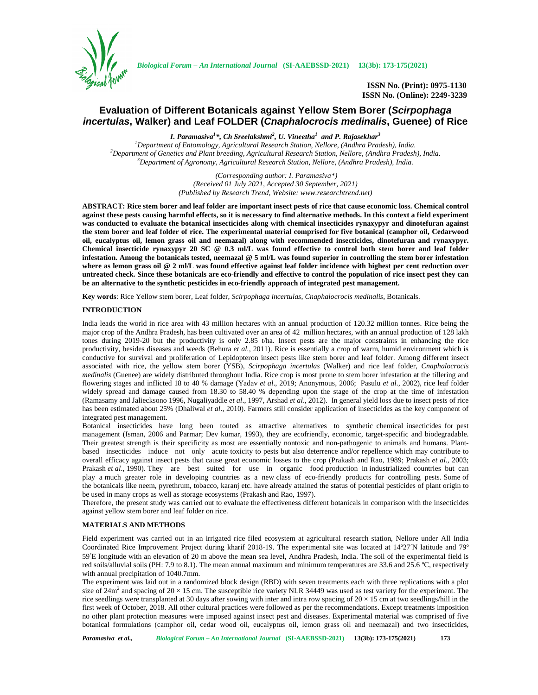

**ISSN No. (Print): 0975-1130 ISSN No. (Online): 2249-3239**

# **Evaluation of Different Botanicals against Yellow Stem Borer (***Scirpophaga incertulas***, Walker) and Leaf FOLDER (***Cnaphalocrocis medinalis***, Guenee) of Rice**

*I. Paramasiva<sup>1</sup>\*, Ch Sreelakshmi<sup>2</sup> , U. Vineetha<sup>1</sup> and P. Rajasekhar<sup>3</sup>*

<sup>1</sup>Department of Entomology, Agricultural Research Station, Nellore, (Andhra Pradesh), India.<br><sup>2</sup>Department of Genetics and Plant breeding, Agricultural Research Station, Nellore, (Andhra Pradesh), India.<br><sup>3</sup>Department of

*(Corresponding author: I. Paramasiva\*) (Received 01 July 2021, Accepted 30 September, 2021) (Published by Research Trend, Website: <www.researchtrend.net>)*

**ABSTRACT: Rice stem borer and leaf folder are important insect pests of rice that cause economic loss. Chemical control against these pests causing harmful effects, so it is necessary to find alternative methods. In this context a field experiment was conducted to evaluate the botanical insecticides along with chemical insecticides rynaxypyr and dinotefuran against the stem borer and leaf folder of rice. The experimental material comprised for five botanical (camphor oil, Cedarwood oil, eucalyptus oil, lemon grass oil and neemazal) along with recommended insecticides, dinotefuran and rynaxypyr. Chemical insecticide rynaxypyr 20 SC @ 0.3 ml/L was found effective to control both stem borer and leaf folder infestation. Among the botanicals tested, neemazal @ 5 ml/L was found superior in controlling the stem borer infestation where as lemon grass oil @ 2 ml/L was found effective against leaf folder incidence with highest per cent reduction over untreated check. Since these botanicals are eco-friendly and effective to control the population of rice insect pest they can be an alternative to the synthetic pesticides in eco-friendly approach of integrated pest management.**

**Key words**: Rice Yellow stem borer, Leaf folder, *Scirpophaga incertulas*, *Cnaphalocrocis medinalis*, Botanicals.

## **INTRODUCTION**

India leads the world in rice area with 43 million hectares with an annual production of 120.32 million tonnes. Rice being the major crop of the Andhra Pradesh, has been cultivated over an area of 42 million hectares, with an annual production of 128 lakh tones during 2019-20 but the productivity is only 2.85 t/ha. Insect pests are the major constraints in enhancing the rice productivity, besides diseases and weeds (Behura *et al.,* 2011). Rice is essentially a crop of warm, humid environment which is conductive for survival and proliferation of Lepidopteron insect pests like stem borer and leaf folder. Among different insect associated with rice, the yellow stem borer (YSB), *Scirpophaga incertulas* (Walker) and rice leaf folder, *Cnaphalocrocis medinalis* (Guenee) are widely distributed throughout India. Rice crop is most prone to stem borer infestation at the tillering and flowering stages and inflicted 18 to 40 % damage (Yadav *et al*., 2019; Anonymous, 2006; Pasulu *et al*., 2002), rice leaf folder widely spread and damage caused from 18.30 to 58.40 % depending upon the stage of the crop at the time of infestation (Ramasamy and Jaliecksono 1996, Nugaliyaddle *et al*., 1997, Arshad *et al*., 2012). In general yield loss due to insect pests of rice has been estimated about 25% (Dhaliwal *et al*., 2010). Farmers still consider application of insecticides as the key component of integrated pest management.

Botanical insecticides have long been touted as attractive alternatives to synthetic chemical insecticides for pest management (Isman, 2006 and Parmar; Dev kumar, 1993), they are ecofriendly, economic, target-specific and biodegradable. Their greatest strength is their specificity as most are essentially nontoxic and non-pathogenic to animals and humans. Plant based insecticides induce not only acute toxicity to pests but also deterrence and/or repellence which may contribute to overall efficacy against insect pests that cause great economic losses to the crop (Prakash and Rao, 1989; Prakash *et al.,* 2003; Prakash *et al.*, 1990). They are best suited for use in organic food production in industrialized countries but can play a much greater role in developing countries as a new class of eco-friendly products for controlling pests. Some of the botanicals like neem, pyrethrum, tobacco, karanj etc. have already attained the status of potential pesticides of plant origin to be used in many crops as well as storage ecosystems (Prakash and Rao, 1997).

Therefore, the present study was carried out to evaluate the effectiveness different botanicals in comparison with the insecticides against yellow stem borer and leaf folder on rice.

### **MATERIALS AND METHODS**

Field experiment was carried out in an irrigated rice filed ecosystem at agricultural research station, Nellore under All India Coordinated Rice Improvement Project during kharif 2018-19. The experimental site was located at 14º27′N latitude and 79º 59′E longitude with an elevation of 20 m above the mean sea level, Andhra Pradesh, India. The soil of the experimental field is red soils/alluvial soils (PH: 7.9 to 8.1). The mean annual maximum and minimum temperatures are 33.6 and 25.6 ºC, respectively with annual precipitation of 1040.7mm.

The experiment was laid out in a randomized block design (RBD) with seven treatments each with three replications with a plot size of 24 $m<sup>2</sup>$  and spacing of 20  $\times$  15 cm. The susceptible rice variety NLR 34449 was used as test variety for the experiment. The rice seedlings were transplanted at 30 days after sowing with inter and intra row spacing of  $20 \times 15$  cm at two seedlings/hill in the first week of October, 2018. All other cultural practices were followed as per the recommendations. Except treatments imposition no other plant protection measures were imposed against insect pest and diseases. Experimental material was comprised of five botanical formulations (camphor oil, cedar wood oil, eucalyptus oil, lemon grass oil and neemazal) and two insecticides,

*Paramasiva et al., Biological Forum – An International Journal* **(SI-AAEBSSD-2021) 13(3b): 173-175(2021) 173**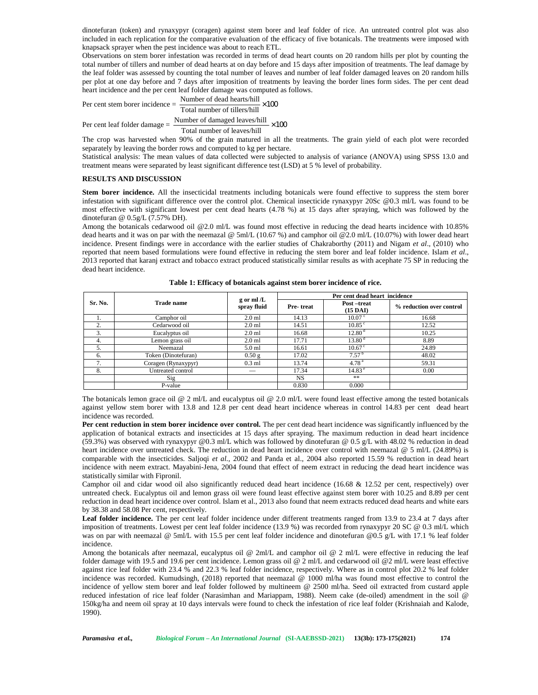dinotefuran (token) and rynaxypyr (coragen) against stem borer and leaf folder of rice. An untreated control plot was also included in each replication for the comparative evaluation of the efficacy of five botanicals. The treatments were imposed with knapsack sprayer when the pest incidence was about to reach ETL.

Observations on stem borer infestation was recorded in terms of dead heart counts on 20 random hills per plot by counting the total number of tillers and number of dead hearts at on day before and 15 days after imposition of treatments. The leaf damage by the leaf folder was assessed by counting the total number of leaves and number of leaf folder damaged leaves on 20 random hills per plot at one day before and 7 days after imposition of treatments by leaving the border lines form sides. The per cent dead heart incidence and the per cent leaf folder damage was computed as follows.

Per cent stem borer incidence  $=$   $\frac{\text{Number of dead hearts/hill}}{\text{Total number of tilers/hill}} \times 100$ Per cent leaf folder damage  $=$   $\frac{\text{Number of damaged leaves/hill}}{\text{Lengthed}} \times 100$ 

Total number of leaves/hill

The crop was harvested when 90% of the grain matured in all the treatments. The grain yield of each plot were recorded separately by leaving the border rows and computed to kg per hectare.

Statistical analysis: The mean values of data collected were subjected to analysis of variance (ANOVA) using SPSS 13.0 and treatment means were separated by least significant difference test (LSD) at 5 % level of probability.

# **RESULTS AND DISCUSSION**

Stem borer incidence. All the insecticidal treatments including botanicals were found effective to suppress the stem borer infestation with significant difference over the control plot. Chemical insecticide rynaxypyr 20Sc @0.3 ml/L was found to be most effective with significant lowest per cent dead hearts (4.78 %) at 15 days after spraying, which was followed by the dinotefuran @ 0.5g/L (7.57% DH).

Among the botanicals cedarwood oil @2.0 ml/L was found most effective in reducing the dead hearts incidence with 10.85% dead hearts and it was on par with the neemazal @ 5ml/L (10.67 %) and camphor oil @2.0 ml/L (10.07%) with lower dead heart incidence. Present findings were in accordance with the earlier studies of Chakraborthy (2011) and Nigam *et al*., (2010) who reported that neem based formulations were found effective in reducing the stem borer and leaf folder incidence. Islam *et al*., 2013 reported that karanj extract and tobacco extract produced statistically similar results as with acephate 75 SP in reducing the dead heart incidence.

|         |                     |                            | Per cent dead heart incidence |                                  |                          |  |  |
|---------|---------------------|----------------------------|-------------------------------|----------------------------------|--------------------------|--|--|
| Sr. No. | Trade name          | g or $ml/L$<br>spray fluid | Pre-treat                     | Post-treat<br>$(15 \text{ DAI})$ | % reduction over control |  |  |
|         | Camphor oil         | $2.0$ ml                   | 14.13                         | 10.07 <sup>c</sup>               | 16.68                    |  |  |
| 2.      | Cedarwood oil       | $2.0$ ml                   | 14.51                         | $10.85^{\circ}$                  | 12.52                    |  |  |
| 3.      | Eucalyptus oil      | $2.0$ ml                   | 16.68                         | 12.80 <sup>d</sup>               | 10.25                    |  |  |
| 4.      | Lemon grass oil     | $2.0$ ml                   | 17.71                         | 13.80 <sup>d</sup>               | 8.89                     |  |  |
| 5.      | Neemazal            | 5.0 ml                     | 16.61                         | $10.67^{\circ}$                  | 24.89                    |  |  |
| 6.      | Token (Dinotefuran) | $0.50$ g                   | 17.02                         | 7.57 <sup>b</sup>                | 48.02                    |  |  |
| 7.      | Coragen (Rynaxypyr) | $0.3$ ml                   | 13.74                         | 4.78 <sup>a</sup>                | 59.31                    |  |  |
| 8.      | Untreated control   | __                         | 17.34                         | 14.83 <sup>e</sup>               | 0.00                     |  |  |
|         | Sig                 |                            | NS.                           | **                               |                          |  |  |
|         | P-value             |                            | 0.830                         | 0.000                            |                          |  |  |

**Table 1: Efficacy of botanicals against stem borer incidence of rice.**

The botanicals lemon grace oil  $@$  2 ml/L and eucalyptus oil  $@$  2.0 ml/L were found least effective among the tested botanicals against yellow stem borer with 13.8 and 12.8 per cent dead heart incidence whereas in control 14.83 per cent dead heart incidence was recorded.

**Per cent reduction in stem borer incidence over control.** The per cent dead heart incidence was significantly influenced by the application of botanical extracts and insecticides at 15 days after spraying. The maximum reduction in dead heart incidence (59.3%) was observed with rynaxypyr @0.3 ml/L which was followed by dinotefuran @ 0.5 g/L with 48.02 % reduction in dead heart incidence over untreated check. The reduction in dead heart incidence over control with neemazal @ 5 ml/L (24.89%) is comparable with the insecticides. Saljoqi *et al.,* 2002 and Panda et al., 2004 also reported 15.59 % reduction in dead heart incidence with neem extract. Mayabini-Jena, 2004 found that effect of neem extract in reducing the dead heart incidence was statistically similar with Fipronil.

Camphor oil and cidar wood oil also significantly reduced dead heart incidence (16.68 & 12.52 per cent, respectively) over untreated check. Eucalyptus oil and lemon grass oil were found least effective against stem borer with 10.25 and 8.89 per cent reduction in dead heart incidence over control. Islam et al., 2013 also found that neem extracts reduced dead hearts and white ears by 38.38 and 58.08 Per cent, respectively.

Leaf folder incidence. The per cent leaf folder incidence under different treatments ranged from 13.9 to 23.4 at 7 days after imposition of treatments. Lowest per cent leaf folder incidence (13.9 %) was recorded from rynaxypyr 20 SC @ 0.3 ml/L which was on par with neemazal @ 5ml/L with 15.5 per cent leaf folder incidence and dinotefuran @0.5 g/L with 17.1 % leaf folder incidence.

Among the botanicals after neemazal, eucalyptus oil @ 2ml/L and camphor oil @ 2 ml/L were effective in reducing the leaf folder damage with 19.5 and 19.6 per cent incidence. Lemon grass oil @ 2 ml/L and cedarwood oil @2 ml/L were least effective against rice leaf folder with 23.4 % and 22.3 % leaf folder incidence, respectively. Where as in control plot 20.2 % leaf folder incidence was recorded. Kumudsingh, (2018) reported that neemazal @ 1000 ml/ha was found most effective to control the incidence of yellow stem borer and leaf folder followed by multineem @ 2500 ml/ha. Seed oil extracted from custard apple reduced infestation of rice leaf folder (Narasimhan and Mariappam, 1988). Neem cake (de-oiled) amendment in the soil @ 150kg/ha and neem oil spray at 10 days intervals were found to check the infestation of rice leaf folder (Krishnaiah and Kalode, 1990).